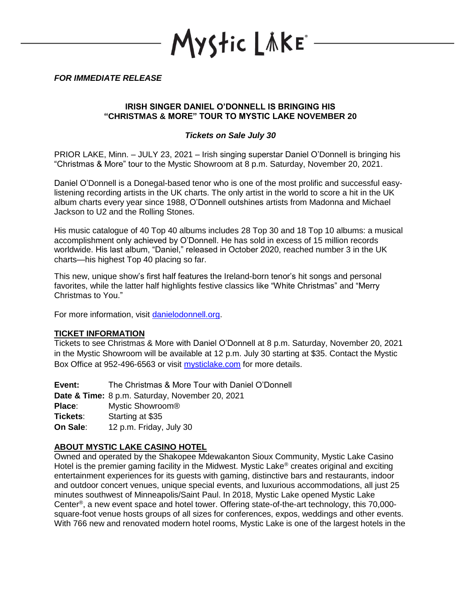YStic LÄKE\*

*FOR IMMEDIATE RELEASE*

## **IRISH SINGER DANIEL O'DONNELL IS BRINGING HIS "CHRISTMAS & MORE" TOUR TO MYSTIC LAKE NOVEMBER 20**

## *Tickets on Sale July 30*

PRIOR LAKE, Minn. – JULY 23, 2021 – Irish singing superstar Daniel O'Donnell is bringing his "Christmas & More" tour to the Mystic Showroom at 8 p.m. Saturday, November 20, 2021.

Daniel O'Donnell is a Donegal-based tenor who is one of the most prolific and successful easylistening recording artists in the UK charts. The only artist in the world to score a hit in the UK album charts every year since 1988, O'Donnell outshines artists from Madonna and Michael Jackson to U2 and the Rolling Stones.

His music catalogue of 40 Top 40 albums includes 28 Top 30 and 18 Top 10 albums: a musical accomplishment only achieved by O'Donnell. He has sold in excess of 15 million records worldwide. His last album, "Daniel," released in October 2020, reached number 3 in the UK charts—his highest Top 40 placing so far.

This new, unique show's first half features the Ireland-born tenor's hit songs and personal favorites, while the latter half highlights festive classics like "White Christmas" and "Merry Christmas to You."

For more information, visit [danielodonnell.org.](https://danielodonnell.org/)

## **TICKET INFORMATION**

Tickets to see Christmas & More with Daniel O'Donnell at 8 p.m. Saturday, November 20, 2021 in the Mystic Showroom will be available at 12 p.m. July 30 starting at \$35. Contact the Mystic Box Office at 952-496-6563 or visit [mysticlake.com](http://www.mysticlake.com/) for more details.

**Event:** The Christmas & More Tour with Daniel O'Donnell **Date & Time:** 8 p.m. Saturday, November 20, 2021 **Place**: Mystic Showroom® **Tickets**: Starting at \$35 **On Sale**: 12 p.m. Friday, July 30

## **ABOUT MYSTIC LAKE CASINO HOTEL**

Owned and operated by the Shakopee Mdewakanton Sioux Community, Mystic Lake Casino Hotel is the premier gaming facility in the Midwest. Mystic Lake<sup>®</sup> creates original and exciting entertainment experiences for its guests with gaming, distinctive bars and restaurants, indoor and outdoor concert venues, unique special events, and luxurious accommodations, all just 25 minutes southwest of Minneapolis/Saint Paul. In 2018, Mystic Lake opened Mystic Lake Center<sup>®</sup>, a new event space and hotel tower. Offering state-of-the-art technology, this 70,000square-foot venue hosts groups of all sizes for conferences, expos, weddings and other events. With 766 new and renovated modern hotel rooms, Mystic Lake is one of the largest hotels in the